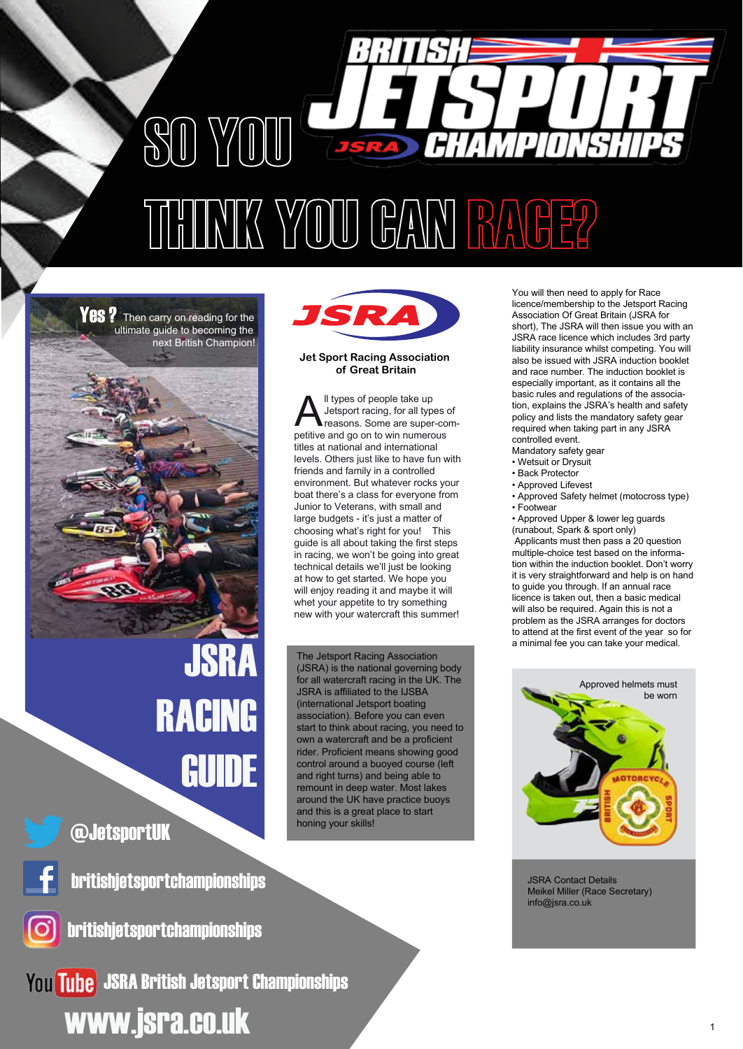

**Yes ?** Then carry on reading for the ultimate guide to becoming the next British Champion!



Junior to Veterans, with small and large budgets - it's just a matter of choosing what's right for you! This guide is all about taking the first steps in racing, we won't be going into great technical details we'll just be looking at how to get started. We hope you will enjoy reading it and maybe it will whet your appetite to try something new with your watercraft this summer!

**Jet Sport Racing Association of Great Britain**

ISR

ll types of people take up Jetsport racing, for all types of reasons. Some are super-com-If types of people take up<br>Jetsport racing, for all types of<br>petitive and go on to win numerous

titles at national and international

The Jetsport Racing Association (JSRA) is the national governing body for all watercraft racing in the UK. The JSRA is affiliated to the IJSBA (international Jetsport boating association). Before you can even start to think about racing, you need to own a watercraft and be a proficient rider. Proficient means showing good control around a buoyed course (left and right turns) and being able to remount in deep water. Most lakes around the UK have practice buoys and this is a great place to start honing your skills!

You will then need to apply for Race licence/membership to the Jetsport Racing Association Of Great Britain (JSRA for short), The JSRA will then issue you with an JSRA race licence which includes 3rd party liability insurance whilst competing. You will also be issued with JSRA induction booklet and race number. The induction booklet is especially important, as it contains all the basic rules and regulations of the association, explains the JSRA's health and safety policy and lists the mandatory safety gear required when taking part in any JSRA controlled event.

- Mandatory safety gear
- Wetsuit or Drysuit
- Back Protector
- Approved Lifevest
- Approved Safety helmet (motocross type) • Footwear
- Approved Upper & lower leg guards
- (runabout, Spark & sport only)

 Applicants must then pass a 20 question multiple-choice test based on the information within the induction booklet. Don't worry it is very straightforward and help is on hand to guide you through. If an annual race licence is taken out, then a basic medical will also be required. Again this is not a problem as the JSRA arranges for doctors to attend at the first event of the year so for a minimal fee you can take your medical.



JSRA Contact Details Meikel Miller (Race Secretary) info@jsra.co.uk

@JetsportUK



britishjetsportchampionships

JSRA

RACING

GUIDE



britishjetsportchampionships

You Tube JSRA British Jetsport Championships www.jsra.co.uk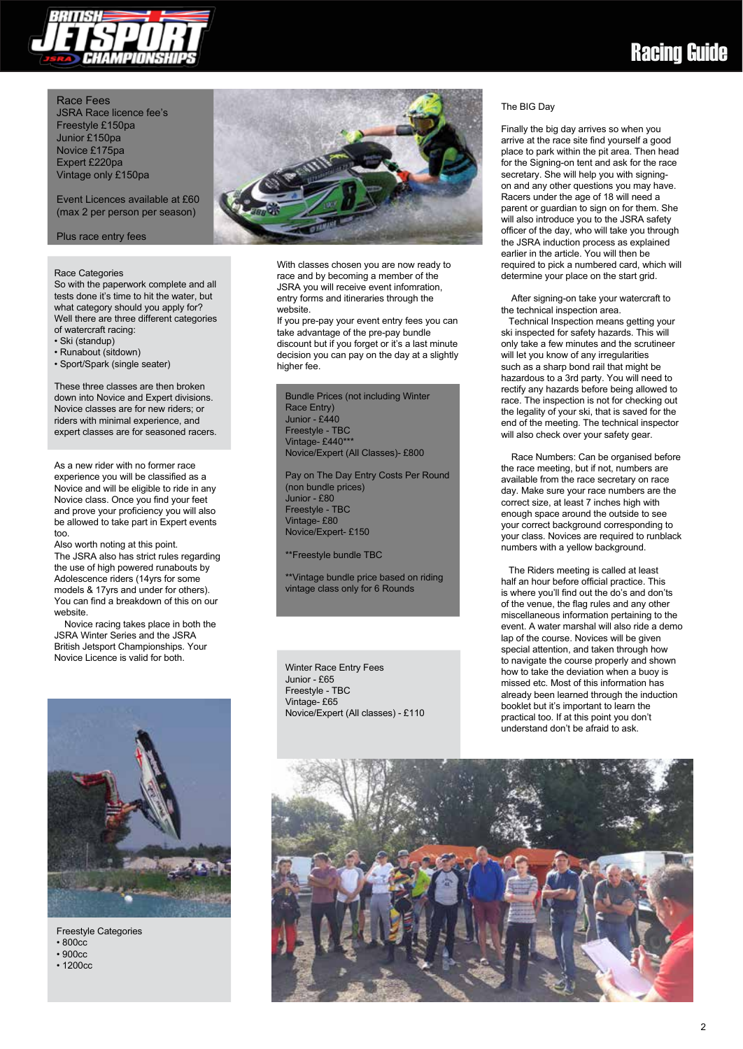

#### Race Fees JSRA Race licence fee's

Freestyle £150pa Junior £150pa Novice £175pa Expert £220pa Vintage only £150pa

Event Licences available at £60 (max 2 per person per season)

Plus race entry fees

#### Race Categories

So with the paperwork complete and all tests done it's time to hit the water, but what category should you apply for? Well there are three different categories of watercraft racing:

- Ski (standup)
- Runabout (sitdown)
- Sport/Spark (single seater)

These three classes are then broken down into Novice and Expert divisions. Novice classes are for new riders; or riders with minimal experience, and expert classes are for seasoned racers.

As a new rider with no former race experience you will be classified as a Novice and will be eligible to ride in any Novice class. Once you find your feet and prove your proficiency you will also be allowed to take part in Expert events too.

Also worth noting at this point. The JSRA also has strict rules regarding the use of high powered runabouts by Adolescence riders (14yrs for some models & 17yrs and under for others). You can find a breakdown of this on our website.

 Novice racing takes place in both the JSRA Winter Series and the JSRA British Jetsport Championships. Your Novice Licence is valid for both.



Freestyle Categories • 800cc

- 900cc
- 1200cc



With classes chosen you are now ready to race and by becoming a member of the JSRA you will receive event infomration, entry forms and itineraries through the website.

If you pre-pay your event entry fees you can take advantage of the pre-pay bundle discount but if you forget or it's a last minute decision you can pay on the day at a slightly higher fee.

Bundle Prices (not including Winter Race Entry) Junior - £440 Freestyle - TBC Vintage- £440\*\*\* Novice/Expert (All Classes)- £800

Pay on The Day Entry Costs Per Round (non bundle prices) Junior - £80 Freestyle - TBC Vintage- £80 Novice/Expert- £150

\*\*Freestyle bundle TBC

\*\*Vintage bundle price based on riding vintage class only for 6 Rounds

Winter Race Entry Fees Junior - £65 Freestyle - TBC Vintage- £65 Novice/Expert (All classes) - £110

#### The BIG Day

Finally the big day arrives so when you arrive at the race site find yourself a good place to park within the pit area. Then head for the Signing-on tent and ask for the race secretary. She will help you with signingon and any other questions you may have. Racers under the age of 18 will need a parent or guardian to sign on for them. She will also introduce you to the JSRA safety officer of the day, who will take you through the JSRA induction process as explained earlier in the article. You will then be required to pick a numbered card, which will determine your place on the start grid.

 After signing-on take your watercraft to the technical inspection area.

 Technical Inspection means getting your ski inspected for safety hazards. This will only take a few minutes and the scrutineer will let you know of any irregularities such as a sharp bond rail that might be hazardous to a 3rd party. You will need to rectify any hazards before being allowed to race. The inspection is not for checking out the legality of your ski, that is saved for the end of the meeting. The technical inspector will also check over your safety gear.

 Race Numbers: Can be organised before the race meeting, but if not, numbers are available from the race secretary on race day. Make sure your race numbers are the correct size, at least 7 inches high with enough space around the outside to see your correct background corresponding to your class. Novices are required to runblack numbers with a yellow background.

 The Riders meeting is called at least half an hour before official practice. This is where you'll find out the do's and don'ts of the venue, the flag rules and any other miscellaneous information pertaining to the event. A water marshal will also ride a demo lap of the course. Novices will be given special attention, and taken through how to navigate the course properly and shown how to take the deviation when a buoy is missed etc. Most of this information has already been learned through the induction booklet but it's important to learn the practical too. If at this point you don't understand don't be afraid to ask.

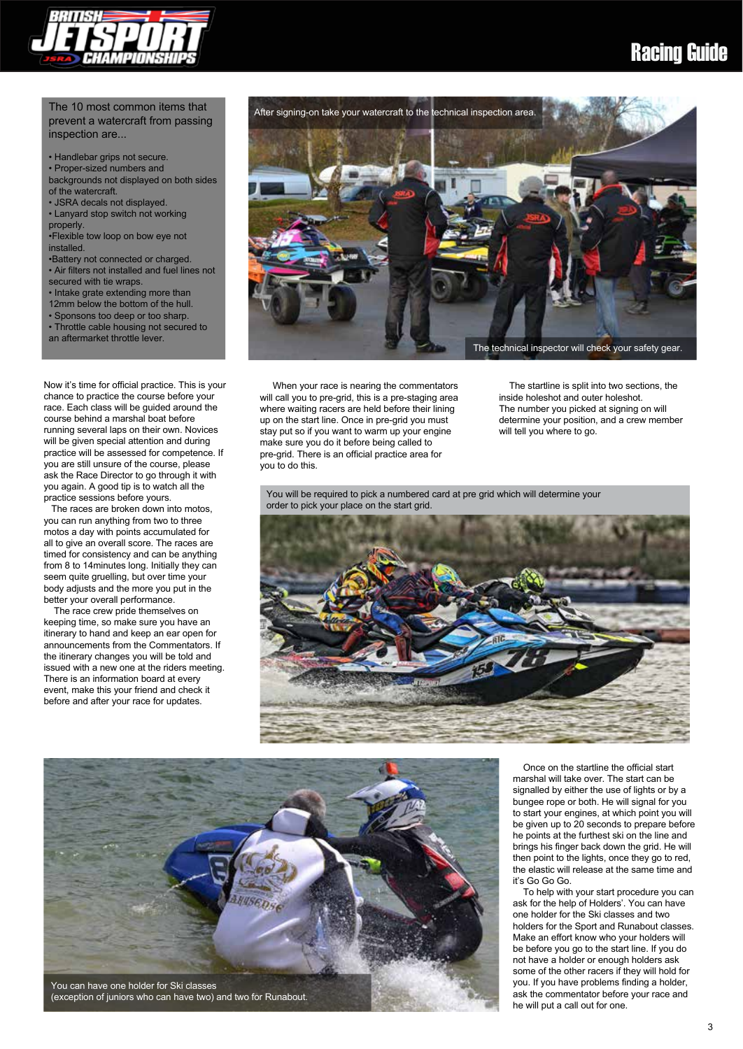

### Racing Guide

#### The 10 most common items that prevent a watercraft from passing inspection are...

• Handlebar grips not secure.

• Proper-sized numbers and backgrounds not displayed on both sides

of the watercraft. • JSRA decals not displayed.

• Lanyard stop switch not working

properly.

•Flexible tow loop on bow eye not

**installed** •Battery not connected or charged.

• Air filters not installed and fuel lines not secured with tie wraps.

• Intake grate extending more than 12mm below the bottom of the hull.

• Sponsons too deep or too sharp.

• Throttle cable housing not secured to an aftermarket throttle lever.

Now it's time for official practice. This is your chance to practice the course before your race. Each class will be guided around the course behind a marshal boat before running several laps on their own. Novices will be given special attention and during practice will be assessed for competence. If you are still unsure of the course, please ask the Race Director to go through it with you again. A good tip is to watch all the practice sessions before yours.

The races are broken down into motos you can run anything from two to three motos a day with points accumulated for all to give an overall score. The races are timed for consistency and can be anything from 8 to 14minutes long. Initially they can seem quite gruelling, but over time your body adjusts and the more you put in the better your overall performance.

 The race crew pride themselves on keeping time, so make sure you have an itinerary to hand and keep an ear open for announcements from the Commentators. If the itinerary changes you will be told and issued with a new one at the riders meeting. There is an information board at every event, make this your friend and check it before and after your race for updates.



 When your race is nearing the commentators will call you to pre-grid, this is a pre-staging area where waiting racers are held before their lining up on the start line. Once in pre-grid you must stay put so if you want to warm up your engine make sure you do it before being called to pre-grid. There is an official practice area for you to do this.

 The startline is split into two sections, the inside holeshot and outer holeshot. The number you picked at signing on will determine your position, and a crew member will tell you where to go.

You will be required to pick a numbered card at pre grid which will determine your order to pick your place on the start grid.



You can have one holder for Ski classes

(exception of juniors who can have two) and two for Runabout.

 Once on the startline the official start marshal will take over. The start can be signalled by either the use of lights or by a bungee rope or both. He will signal for you to start your engines, at which point you will be given up to 20 seconds to prepare before he points at the furthest ski on the line and brings his finger back down the grid. He will then point to the lights, once they go to red, the elastic will release at the same time and it's Go Go Go.

 To help with your start procedure you can ask for the help of Holders'. You can have one holder for the Ski classes and two holders for the Sport and Runabout classes. Make an effort know who your holders will be before you go to the start line. If you do not have a holder or enough holders ask some of the other racers if they will hold for you. If you have problems finding a holder, ask the commentator before your race and he will put a call out for one.